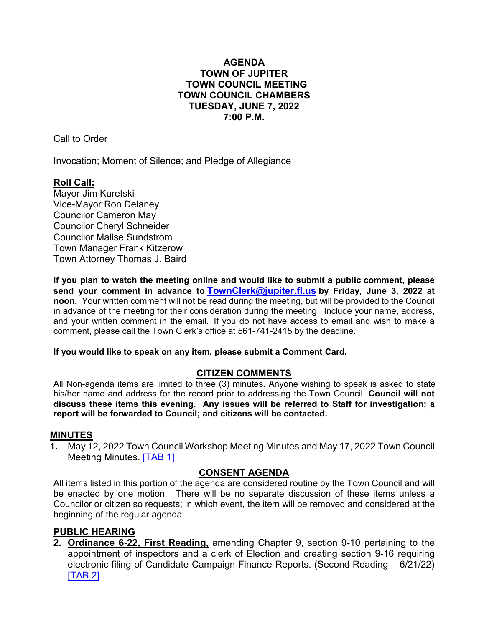# **AGENDA TOWN OF JUPITER TOWN COUNCIL MEETING TOWN COUNCIL CHAMBERS TUESDAY, JUNE 7, 2022 7:00 P.M.**

Call to Order

Invocation; Moment of Silence; and Pledge of Allegiance

# **Roll Call:**

Mayor Jim Kuretski Vice-Mayor Ron Delaney Councilor Cameron May Councilor Cheryl Schneider Councilor Malise Sundstrom Town Manager Frank Kitzerow Town Attorney Thomas J. Baird

**If you plan to watch the meeting online and would like to submit a public comment, please send your comment in advance to [TownClerk@jupiter.fl.us](mailto:TownClerk@jupiter.fl.us) by Friday, June 3, 2022 at noon.** Your written comment will not be read during the meeting, but will be provided to the Council in advance of the meeting for their consideration during the meeting. Include your name, address, and your written comment in the email. If you do not have access to email and wish to make a comment, please call the Town Clerk's office at 561-741-2415 by the deadline.

# **If you would like to speak on any item, please submit a Comment Card.**

# **CITIZEN COMMENTS**

All Non-agenda items are limited to three (3) minutes. Anyone wishing to speak is asked to state his/her name and address for the record prior to addressing the Town Council. **Council will not discuss these items this evening. Any issues will be referred to Staff for investigation; a report will be forwarded to Council; and citizens will be contacted.**

# **MINUTES**

**1.** May 12, 2022 Town Coun[cil Work](http://www.jupiter.fl.us/documentcenter/view/30074)shop Meeting Minutes and May 17, 2022 Town Council Meeting Minutes. **[TAB 1]** 

# **CONSENT AGENDA**

All items listed in this portion of the agenda are considered routine by the Town Council and will be enacted by one motion. There will be no separate discussion of these items unless a Councilor or citizen so requests; in which event, the item will be removed and considered at the beginning of the regular agenda.

# **PUBLIC HEARING**

**2. Ordinance 6-22, First Reading,** amending Chapter 9, section 9-10 pertaining to the appointment of inspectors and a clerk of Election and creating section 9-16 requiring electronic filing of Candidate Campaign Finance Reports. (Second Reading – 6/21/22) [\[TAB 2\]](http://www.jupiter.fl.us/documentcenter/view/30075)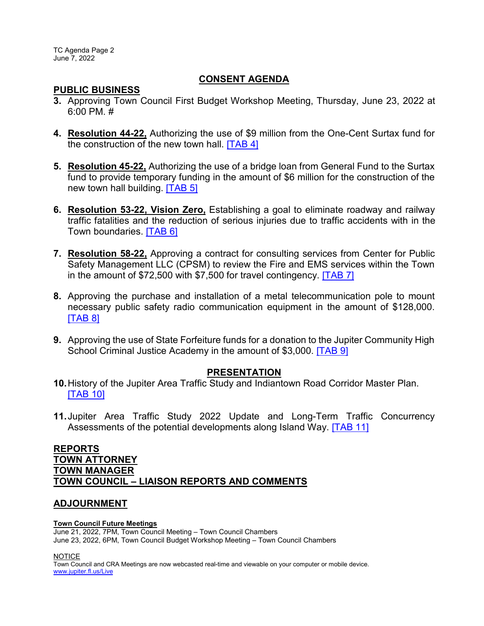TC Agenda Page 2 June 7, 2022

### **CONSENT AGENDA**

### **PUBLIC BUSINESS**

- **3.** Approving Town Council First Budget Workshop Meeting, Thursday, June 23, 2022 at 6:00 PM. #
- **4. Resolution 44-22,** Authorizing the use of \$9 million from the One-Cent Surtax fund for the construction of the new town hall. [\[TAB 4\]](http://www.jupiter.fl.us/documentcenter/view/30076)
- **5. Resolution 45-22,** Authorizing the use of a bridge loan from General Fund to the Surtax fund to provide temporary funding in the amount of \$6 million for the construction of the new town hall building. [\[TAB 5\]](http://www.jupiter.fl.us/documentcenter/view/30077)
- **6. Resolution 53-22, Vision Zero,** Establishing a goal to eliminate roadway and railway traffic fatalities and the reduction of serious injuries due to traffic accidents with in the Town boundaries. [\[TAB 6\]](http://www.jupiter.fl.us/documentcenter/view/30083)
- **7. Resolution 58-22,** Approving a contract for consulting services from Center for Public Safety Management LLC (CPSM) to review the Fire and EMS services within the Town in the amount of \$72,500 with \$7,500 for travel contingency. [\[TAB 7\]](http://www.jupiter.fl.us/documentcenter/view/30078)
- **8.** Approving the purchase and installation of a metal telecommunication pole to mount necessary public safety radio communication equipment in the amount of \$128,000. **ITAB 81**
- **9.** Approving the use of State Forfeiture funds for a donation to the Jupiter Community High School Criminal Justice Academy in the amount of \$3,000. **[\[TAB](http://www.jupiter.fl.us/documentcenter/view/30080) 9]**

### **PRESENTATION**

- **10.**History of the Jupiter Area Traffic Study and Indiantown Road Corridor Master Plan. [\[TAB 10\]](http://www.jupiter.fl.us/documentcenter/view/30084)
- **11.**Jupiter Area Traffic Study 2022 Update and Long-Term Traffic Concurrency Assessments of the potential developments along Island Way. [\[TAB 11\]](http://www.jupiter.fl.us/documentcenter/view/30085)

## **REPORTS TOWN ATTORNEY TOWN MANAGER TOWN COUNCIL – LIAISON REPORTS AND COMMENTS**

# **ADJOURNMENT**

#### **Town Council Future Meetings**

June 21, 2022, 7PM, Town Council Meeting – Town Council Chambers June 23, 2022, 6PM, Town Council Budget Workshop Meeting – Town Council Chambers

NOTICE

Town Council and CRA Meetings are now webcasted real-time and viewable on your computer or mobile device. [www.jupiter.fl.us/Live](http://www.jupiter.fl.us/Live)